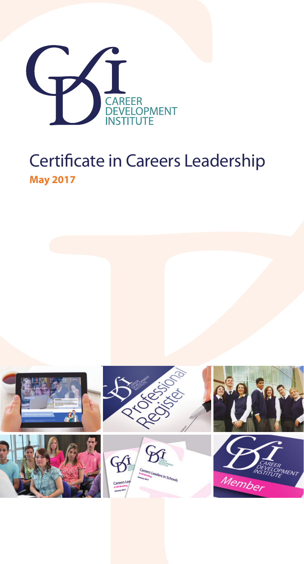

# Certificate in Careers Leadership **May 2017**

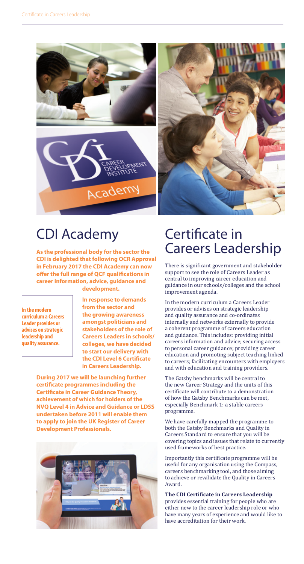

# CDI Academy

**As the professional body for the sector the CDI is delighted that following OCR Approval in February 2017 the CDI Academy can now offer the full range of QCF qualifications in career information, advice, guidance and development.** 

**In the modern curriculum a Careers Leader provides or advises on strategic leadership and quality assurance.**

**In response to demands from the sector and the growing awareness amongst politicians and stakeholders of the role of Careers Leaders in schools/ colleges, we have decided to start our delivery with the CDI Level 6 Certificate in Careers Leadership.** 

**During 2017 we will be launching further certificate programmes including the Certificate in Career Guidance Theory, achievement of which for holders of the NVQ Level 4 in Advice and Guidance or LDSS undertaken before 2011 will enable them to apply to join the UK Register of Career Development Professionals.**



# Certificate in Careers Leadership

There is significant government and stakeholder support to see the role of Careers Leader as central to improving career education and guidance in our schools/colleges and the school improvement agenda.

In the modern curriculum a Careers Leader provides or advises on strategic leadership and quality assurance and co-ordinates internally and networks externally to provide a coherent programme of careers education and guidance. This includes: providing initial careers information and advice; securing access to personal career guidance; providing career education and promoting subject teaching linked to careers; facilitating encounters with employers and with education and training providers.

The Gatsby benchmarks will be central to the new Career Strategy and the units of this certificate will contribute to a demonstration of how the Gatsby Benchmarks can be met, especially Benchmark 1: a stable careers programme.

We have carefully mapped the programme to both the Gatsby Benchmarks and Quality in Careers Standard to ensure that you will be covering topics and issues that relate to currently used frameworks of best practice.

Importantly this certificate programme will be useful for any organisation using the Compass, careers benchmarking tool, and those aiming to achieve or revalidate the Quality in Careers Award.

**The CDI Certificate in Careers Leadership** provides essential training for people who are either new to the career leadership role or who have many years of experience and would like to have accreditation for their work.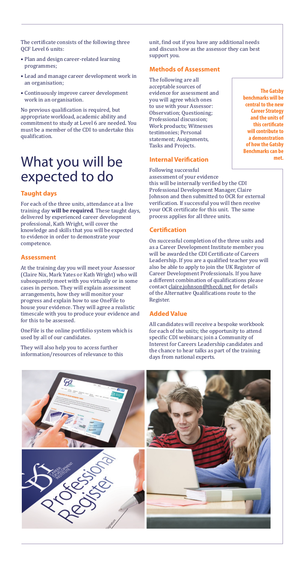The certificate consists of the following three QCF Level 6 units:

- Plan and design career-related learning programmes;
- Lead and manage career development work in an organisation;
- Continuously improve career development work in an organisation.

No previous qualification is required, but appropriate workload, academic ability and commitment to study at Level 6 are needed. You must be a member of the CDI to undertake this qualification.

# What you will be expected to do

## **Taught days**

For each of the three units, attendance at a live training day **will be required**. These taught days, delivered by experienced career development professional, Kath Wright, will cover the knowledge and skills that you will be expected to evidence in order to demonstrate your competence.

#### **Assessment**

At the training day you will meet your Assessor (Claire Nix, Mark Yates or Kath Wright) who will subsequently meet with you virtually or in some cases in person. They will explain assessment arrangements, how they will monitor your progress and explain how to use OneFile to house your evidence. They will agree a realistic timescale with you to produce your evidence and for this to be assessed.

OneFile is the online portfolio system which is used by all of our candidates.

They will also help you to access further information/resources of relevance to this unit, find out if you have any additional needs and discuss how as the assessor they can best support you.

### **Methods of Assessment**

The following are all acceptable sources of evidence for assessment and you will agree which ones to use with your Assessor: Observation; Questioning; Professional discussion; Work products; Witnesses testimonies; Personal statement; Assignments, Tasks and Projects.

#### **Internal Verification**

Following successful assessment of your evidence this will be internally verified by the CDI Professional Development Manager, Claire Johnson and then submitted to OCR for external verification. If successful you will then receive your OCR certificate for this unit. The same process applies for all three units.

#### **Certification**

On successful completion of the three units and as a Career Development Institute member you will be awarded the CDI Certificate of Careers Leadership. If you are a qualified teacher you will also be able to apply to join the UK Register of Career Development Professionals. If you have a different combination of qualifications please contact claire.johnson@thecdi.net for details of the Alternative Qualifications route to the Register.

#### **Added Value**

All candidates will receive a bespoke workbook for each of the units; the opportunity to attend specific CDI webinars; join a Community of Interest for Careers Leadership candidates and the chance to hear talks as part of the training



**The Gatsby benchmarks will be central to the new Career Strategy and the units of this certificate will contribute to a demonstration of how the Gatsby Benchmarks can be met.**